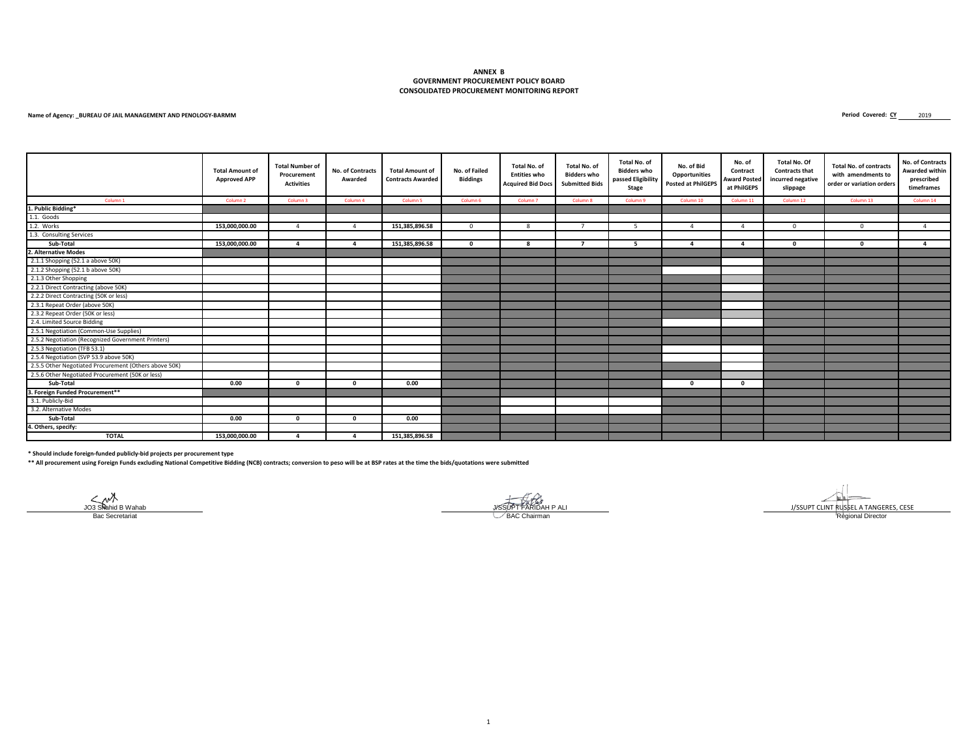#### **CONSOLIDATED PROCUREMENT MONITORING REPORT ANNEX B GOVERNMENT PROCUREMENT POLICY BOARD**

#### **Name of Agency: \_BUREAU OF JAIL MANAGEMENT AND PENOLOGY-BARMM**

Period Covered: CY 2019

|                                                       | <b>Total Amount of</b><br><b>Approved APP</b> | <b>Total Number of</b><br>Procurement<br><b>Activities</b> | <b>No. of Contracts</b><br>Awarded | <b>Total Amount of</b><br><b>Contracts Awarded</b> | No. of Failed<br><b>Biddings</b> | Total No. of<br><b>Entities who</b><br><b>Acquired Bid Docs</b> | Total No. of<br><b>Bidders who</b><br><b>Submitted Bids</b> | Total No. of<br><b>Bidders who</b><br>passed Eligibility<br>Stage | No. of Bid<br><b>Opportunities</b><br><b>Posted at PhilGEPS</b> | No. of<br>Contract<br><b>Award Posted</b><br>at PhilGEPS | Total No. Of<br><b>Contracts that</b><br>incurred negative<br>slippage | <b>Total No. of contracts</b><br>with amendments to<br>order or variation orders | No. of Contracts<br>Awarded within<br>prescribed<br>timeframes |
|-------------------------------------------------------|-----------------------------------------------|------------------------------------------------------------|------------------------------------|----------------------------------------------------|----------------------------------|-----------------------------------------------------------------|-------------------------------------------------------------|-------------------------------------------------------------------|-----------------------------------------------------------------|----------------------------------------------------------|------------------------------------------------------------------------|----------------------------------------------------------------------------------|----------------------------------------------------------------|
| Column 1                                              | Column <sub>2</sub>                           | Column <sub>3</sub>                                        | Column 4                           | Column <sub>5</sub>                                | Column 6                         | Column <sub>7</sub>                                             | Column 8                                                    | Column 9                                                          | Column 10                                                       | Column 11                                                | Column 12                                                              | Column 13                                                                        | Column 14                                                      |
| 1. Public Bidding*                                    |                                               |                                                            |                                    |                                                    |                                  |                                                                 |                                                             |                                                                   |                                                                 |                                                          |                                                                        |                                                                                  |                                                                |
| 1.1. Goods                                            |                                               |                                                            |                                    |                                                    |                                  |                                                                 |                                                             |                                                                   |                                                                 |                                                          |                                                                        |                                                                                  |                                                                |
| 1.2. Works                                            | 153,000,000.00                                | $\Delta$                                                   | $\mathbf{A}$                       | 151,385,896.58                                     | $^{\circ}$                       | - 8                                                             |                                                             | -5                                                                | $\Delta$                                                        | $\overline{a}$                                           | $^{\circ}$                                                             | $\mathbf{0}$                                                                     | $\overline{4}$                                                 |
| 1.3. Consulting Services                              |                                               |                                                            |                                    |                                                    |                                  |                                                                 |                                                             |                                                                   |                                                                 |                                                          |                                                                        |                                                                                  |                                                                |
| Sub-Total                                             | 153,000,000.00                                | $\mathbf{a}$                                               | $\Delta$                           | 151,385,896.58                                     | $^{\circ}$                       | - 8                                                             | -7                                                          | -5                                                                |                                                                 | Δ                                                        | $\Omega$                                                               | $\Omega$                                                                         | $\mathbf{A}$                                                   |
| 2. Alternative Modes                                  |                                               |                                                            |                                    |                                                    |                                  |                                                                 |                                                             |                                                                   |                                                                 |                                                          |                                                                        |                                                                                  |                                                                |
| 2.1.1 Shopping (52.1 a above 50K)                     |                                               |                                                            |                                    |                                                    |                                  |                                                                 |                                                             |                                                                   |                                                                 |                                                          |                                                                        |                                                                                  |                                                                |
| 2.1.2 Shopping (52.1 b above 50K)                     |                                               |                                                            |                                    |                                                    |                                  |                                                                 |                                                             |                                                                   |                                                                 |                                                          |                                                                        |                                                                                  |                                                                |
| 2.1.3 Other Shopping                                  |                                               |                                                            |                                    |                                                    |                                  |                                                                 |                                                             |                                                                   |                                                                 |                                                          |                                                                        |                                                                                  |                                                                |
| 2.2.1 Direct Contracting (above 50K)                  |                                               |                                                            |                                    |                                                    |                                  |                                                                 |                                                             |                                                                   |                                                                 |                                                          |                                                                        |                                                                                  |                                                                |
| 2.2.2 Direct Contracting (50K or less)                |                                               |                                                            |                                    |                                                    |                                  |                                                                 |                                                             |                                                                   |                                                                 |                                                          |                                                                        |                                                                                  |                                                                |
| 2.3.1 Repeat Order (above 50K)                        |                                               |                                                            |                                    |                                                    |                                  |                                                                 |                                                             |                                                                   |                                                                 |                                                          |                                                                        |                                                                                  |                                                                |
| 2.3.2 Repeat Order (50K or less)                      |                                               |                                                            |                                    |                                                    |                                  |                                                                 |                                                             |                                                                   |                                                                 |                                                          |                                                                        |                                                                                  |                                                                |
| 2.4. Limited Source Bidding                           |                                               |                                                            |                                    |                                                    |                                  |                                                                 |                                                             |                                                                   |                                                                 |                                                          |                                                                        |                                                                                  |                                                                |
| 2.5.1 Negotiation (Common-Use Supplies)               |                                               |                                                            |                                    |                                                    |                                  |                                                                 |                                                             |                                                                   |                                                                 |                                                          |                                                                        |                                                                                  |                                                                |
| 2.5.2 Negotiation (Recognized Government Printers)    |                                               |                                                            |                                    |                                                    |                                  |                                                                 |                                                             |                                                                   |                                                                 |                                                          |                                                                        |                                                                                  |                                                                |
| 2.5.3 Negotiation (TFB 53.1)                          |                                               |                                                            |                                    |                                                    |                                  |                                                                 |                                                             |                                                                   |                                                                 |                                                          |                                                                        |                                                                                  |                                                                |
| 2.5.4 Negotiation (SVP 53.9 above 50K)                |                                               |                                                            |                                    |                                                    |                                  |                                                                 |                                                             |                                                                   |                                                                 |                                                          |                                                                        |                                                                                  |                                                                |
| 2.5.5 Other Negotiated Procurement (Others above 50K) |                                               |                                                            |                                    |                                                    |                                  |                                                                 |                                                             |                                                                   |                                                                 |                                                          |                                                                        |                                                                                  |                                                                |
| 2.5.6 Other Negotiated Procurement (50K or less)      |                                               |                                                            |                                    |                                                    |                                  |                                                                 |                                                             |                                                                   |                                                                 |                                                          |                                                                        |                                                                                  |                                                                |
| Sub-Total                                             | 0.00                                          | $\Omega$                                                   | $\Omega$                           | 0.00                                               |                                  |                                                                 |                                                             |                                                                   | $\Omega$                                                        | $\Omega$                                                 |                                                                        |                                                                                  |                                                                |
| 3. Foreign Funded Procurement**                       |                                               |                                                            |                                    |                                                    |                                  |                                                                 |                                                             |                                                                   |                                                                 |                                                          |                                                                        |                                                                                  |                                                                |
| 3.1. Publicly-Bid                                     |                                               |                                                            |                                    |                                                    |                                  |                                                                 |                                                             |                                                                   |                                                                 |                                                          |                                                                        |                                                                                  |                                                                |
| 3.2. Alternative Modes                                |                                               |                                                            |                                    |                                                    |                                  |                                                                 |                                                             |                                                                   |                                                                 |                                                          |                                                                        |                                                                                  |                                                                |
| Sub-Total                                             | 0.00                                          | $\mathbf{a}$                                               | $\mathbf{0}$                       | 0.00                                               |                                  |                                                                 |                                                             |                                                                   |                                                                 |                                                          |                                                                        |                                                                                  |                                                                |
| 4. Others, specify:                                   |                                               |                                                            |                                    |                                                    |                                  |                                                                 |                                                             |                                                                   |                                                                 |                                                          |                                                                        |                                                                                  |                                                                |
| <b>TOTAL</b>                                          | 153,000,000.00                                |                                                            |                                    | 151,385,896.58                                     |                                  |                                                                 |                                                             |                                                                   |                                                                 |                                                          |                                                                        |                                                                                  |                                                                |

**\* Should include foreign-funded publicly-bid projects per procurement type** 

**\*\* All procurement using Foreign Funds excluding National Competitive Bidding (NCB) contracts; conversion to peso will be at BSP rates at the time the bids/quotations were submitted**

JOS SNahid B Wahab JOS SUPT CLINT RUSSEL A TANGERES, CESE<br>JOS SNahid B Wahab JOS SUPT CLINT RUSSEL A TANGERES, CESE<br>Bac Secretariat Regional Director Bac Secretariat Regional Director Regional Director Regional Director Regional Director Regional Director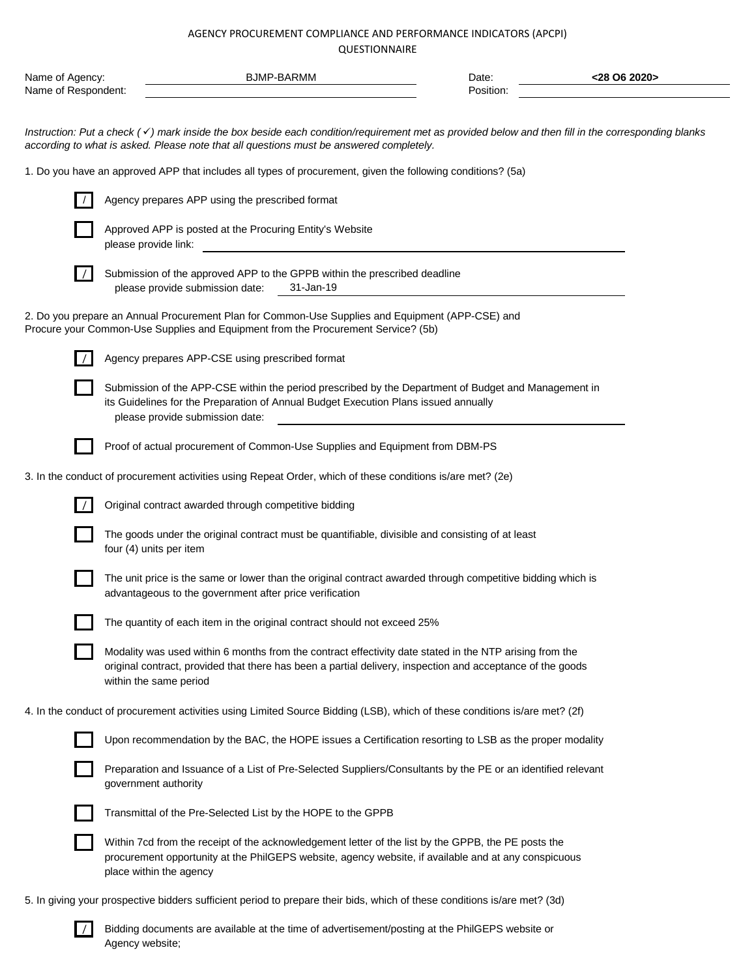| Name of Agency:<br>Name of Respondent:                                                                                                                                                                                                                     |                                                                                  | <b>BJMP-BARMM</b>                                                                 |                                                                                                                                                                                                                       | Date:<br>Position: | <28 O6 2020> |  |  |  |  |  |
|------------------------------------------------------------------------------------------------------------------------------------------------------------------------------------------------------------------------------------------------------------|----------------------------------------------------------------------------------|-----------------------------------------------------------------------------------|-----------------------------------------------------------------------------------------------------------------------------------------------------------------------------------------------------------------------|--------------------|--------------|--|--|--|--|--|
|                                                                                                                                                                                                                                                            |                                                                                  |                                                                                   |                                                                                                                                                                                                                       |                    |              |  |  |  |  |  |
| Instruction: Put a check ( $\checkmark$ ) mark inside the box beside each condition/requirement met as provided below and then fill in the corresponding blanks<br>according to what is asked. Please note that all questions must be answered completely. |                                                                                  |                                                                                   |                                                                                                                                                                                                                       |                    |              |  |  |  |  |  |
| 1. Do you have an approved APP that includes all types of procurement, given the following conditions? (5a)                                                                                                                                                |                                                                                  |                                                                                   |                                                                                                                                                                                                                       |                    |              |  |  |  |  |  |
|                                                                                                                                                                                                                                                            |                                                                                  | Agency prepares APP using the prescribed format                                   |                                                                                                                                                                                                                       |                    |              |  |  |  |  |  |
|                                                                                                                                                                                                                                                            | Approved APP is posted at the Procuring Entity's Website<br>please provide link: |                                                                                   |                                                                                                                                                                                                                       |                    |              |  |  |  |  |  |
|                                                                                                                                                                                                                                                            |                                                                                  | please provide submission date:                                                   | Submission of the approved APP to the GPPB within the prescribed deadline<br>31-Jan-19                                                                                                                                |                    |              |  |  |  |  |  |
|                                                                                                                                                                                                                                                            |                                                                                  | Procure your Common-Use Supplies and Equipment from the Procurement Service? (5b) | 2. Do you prepare an Annual Procurement Plan for Common-Use Supplies and Equipment (APP-CSE) and                                                                                                                      |                    |              |  |  |  |  |  |
|                                                                                                                                                                                                                                                            |                                                                                  | Agency prepares APP-CSE using prescribed format                                   |                                                                                                                                                                                                                       |                    |              |  |  |  |  |  |
|                                                                                                                                                                                                                                                            |                                                                                  | please provide submission date:                                                   | Submission of the APP-CSE within the period prescribed by the Department of Budget and Management in<br>its Guidelines for the Preparation of Annual Budget Execution Plans issued annually                           |                    |              |  |  |  |  |  |
|                                                                                                                                                                                                                                                            |                                                                                  |                                                                                   | Proof of actual procurement of Common-Use Supplies and Equipment from DBM-PS                                                                                                                                          |                    |              |  |  |  |  |  |
|                                                                                                                                                                                                                                                            |                                                                                  |                                                                                   | 3. In the conduct of procurement activities using Repeat Order, which of these conditions is/are met? (2e)                                                                                                            |                    |              |  |  |  |  |  |
|                                                                                                                                                                                                                                                            |                                                                                  | Original contract awarded through competitive bidding                             |                                                                                                                                                                                                                       |                    |              |  |  |  |  |  |
|                                                                                                                                                                                                                                                            |                                                                                  | four (4) units per item                                                           | The goods under the original contract must be quantifiable, divisible and consisting of at least                                                                                                                      |                    |              |  |  |  |  |  |
|                                                                                                                                                                                                                                                            |                                                                                  | advantageous to the government after price verification                           | The unit price is the same or lower than the original contract awarded through competitive bidding which is                                                                                                           |                    |              |  |  |  |  |  |
|                                                                                                                                                                                                                                                            |                                                                                  | The quantity of each item in the original contract should not exceed 25%          |                                                                                                                                                                                                                       |                    |              |  |  |  |  |  |
|                                                                                                                                                                                                                                                            |                                                                                  | within the same period                                                            | Modality was used within 6 months from the contract effectivity date stated in the NTP arising from the<br>original contract, provided that there has been a partial delivery, inspection and acceptance of the goods |                    |              |  |  |  |  |  |
|                                                                                                                                                                                                                                                            |                                                                                  |                                                                                   | 4. In the conduct of procurement activities using Limited Source Bidding (LSB), which of these conditions is/are met? (2f)                                                                                            |                    |              |  |  |  |  |  |
|                                                                                                                                                                                                                                                            |                                                                                  |                                                                                   | Upon recommendation by the BAC, the HOPE issues a Certification resorting to LSB as the proper modality                                                                                                               |                    |              |  |  |  |  |  |
|                                                                                                                                                                                                                                                            |                                                                                  | government authority                                                              | Preparation and Issuance of a List of Pre-Selected Suppliers/Consultants by the PE or an identified relevant                                                                                                          |                    |              |  |  |  |  |  |
|                                                                                                                                                                                                                                                            |                                                                                  | Transmittal of the Pre-Selected List by the HOPE to the GPPB                      |                                                                                                                                                                                                                       |                    |              |  |  |  |  |  |
|                                                                                                                                                                                                                                                            |                                                                                  | place within the agency                                                           | Within 7cd from the receipt of the acknowledgement letter of the list by the GPPB, the PE posts the<br>procurement opportunity at the PhilGEPS website, agency website, if available and at any conspicuous           |                    |              |  |  |  |  |  |

5. In giving your prospective bidders sufficient period to prepare their bids, which of these conditions is/are met? (3d)

/ Bidding documents are available at the time of advertisement/posting at the PhilGEPS website or Agency website;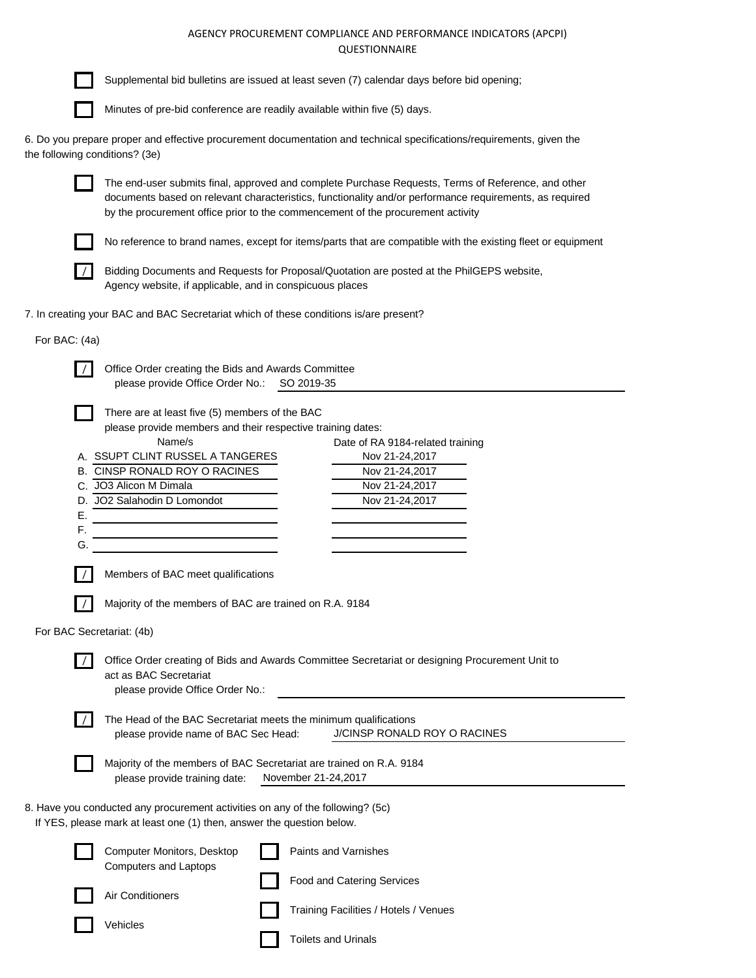Supplemental bid bulletins are issued at least seven (7) calendar days before bid opening;

the

Г  $\sim$ 

|                           | Minutes of pre-bid conference are readily available within five (5) days.                                                                                                                                                                                                                                                                                         |  |  |  |  |  |  |  |  |  |
|---------------------------|-------------------------------------------------------------------------------------------------------------------------------------------------------------------------------------------------------------------------------------------------------------------------------------------------------------------------------------------------------------------|--|--|--|--|--|--|--|--|--|
|                           | 6. Do you prepare proper and effective procurement documentation and technical specifications/requirements, given the<br>the following conditions? (3e)                                                                                                                                                                                                           |  |  |  |  |  |  |  |  |  |
|                           | The end-user submits final, approved and complete Purchase Requests, Terms of Reference, and other<br>documents based on relevant characteristics, functionality and/or performance requirements, as required<br>by the procurement office prior to the commencement of the procurement activity                                                                  |  |  |  |  |  |  |  |  |  |
|                           | No reference to brand names, except for items/parts that are compatible with the existing fleet or equipment                                                                                                                                                                                                                                                      |  |  |  |  |  |  |  |  |  |
|                           | Bidding Documents and Requests for Proposal/Quotation are posted at the PhilGEPS website,<br>Agency website, if applicable, and in conspicuous places                                                                                                                                                                                                             |  |  |  |  |  |  |  |  |  |
|                           | 7. In creating your BAC and BAC Secretariat which of these conditions is/are present?                                                                                                                                                                                                                                                                             |  |  |  |  |  |  |  |  |  |
| For BAC: (4a)             |                                                                                                                                                                                                                                                                                                                                                                   |  |  |  |  |  |  |  |  |  |
|                           | Office Order creating the Bids and Awards Committee<br>please provide Office Order No.:<br>SO 2019-35                                                                                                                                                                                                                                                             |  |  |  |  |  |  |  |  |  |
|                           | There are at least five (5) members of the BAC<br>please provide members and their respective training dates:<br>Name/s<br>Date of RA 9184-related training<br>A. SSUPT CLINT RUSSEL A TANGERES<br>Nov 21-24,2017<br>B. CINSP RONALD ROY O RACINES<br>Nov 21-24,2017<br>C. JO3 Alicon M Dimala<br>Nov 21-24,2017<br>D. JO2 Salahodin D Lomondot<br>Nov 21-24,2017 |  |  |  |  |  |  |  |  |  |
| Е.<br>F.<br>G.            | Members of BAC meet qualifications                                                                                                                                                                                                                                                                                                                                |  |  |  |  |  |  |  |  |  |
|                           |                                                                                                                                                                                                                                                                                                                                                                   |  |  |  |  |  |  |  |  |  |
|                           | Majority of the members of BAC are trained on R.A. 9184                                                                                                                                                                                                                                                                                                           |  |  |  |  |  |  |  |  |  |
| For BAC Secretariat: (4b) | Office Order creating of Bids and Awards Committee Secretariat or designing Procurement Unit to<br>act as BAC Secretariat<br>please provide Office Order No.:                                                                                                                                                                                                     |  |  |  |  |  |  |  |  |  |
|                           | The Head of the BAC Secretariat meets the minimum qualifications<br>J/CINSP RONALD ROY O RACINES<br>please provide name of BAC Sec Head:                                                                                                                                                                                                                          |  |  |  |  |  |  |  |  |  |
|                           | Majority of the members of BAC Secretariat are trained on R.A. 9184<br>please provide training date:<br>November 21-24,2017                                                                                                                                                                                                                                       |  |  |  |  |  |  |  |  |  |
|                           | 8. Have you conducted any procurement activities on any of the following? (5c)<br>If YES, please mark at least one (1) then, answer the question below.                                                                                                                                                                                                           |  |  |  |  |  |  |  |  |  |
|                           | Computer Monitors, Desktop<br>Paints and Varnishes<br><b>Computers and Laptops</b>                                                                                                                                                                                                                                                                                |  |  |  |  |  |  |  |  |  |
|                           | <b>Food and Catering Services</b><br>Air Conditioners                                                                                                                                                                                                                                                                                                             |  |  |  |  |  |  |  |  |  |
|                           | Training Facilities / Hotels / Venues<br>Vehicles                                                                                                                                                                                                                                                                                                                 |  |  |  |  |  |  |  |  |  |
|                           | <b>Toilets and Urinals</b>                                                                                                                                                                                                                                                                                                                                        |  |  |  |  |  |  |  |  |  |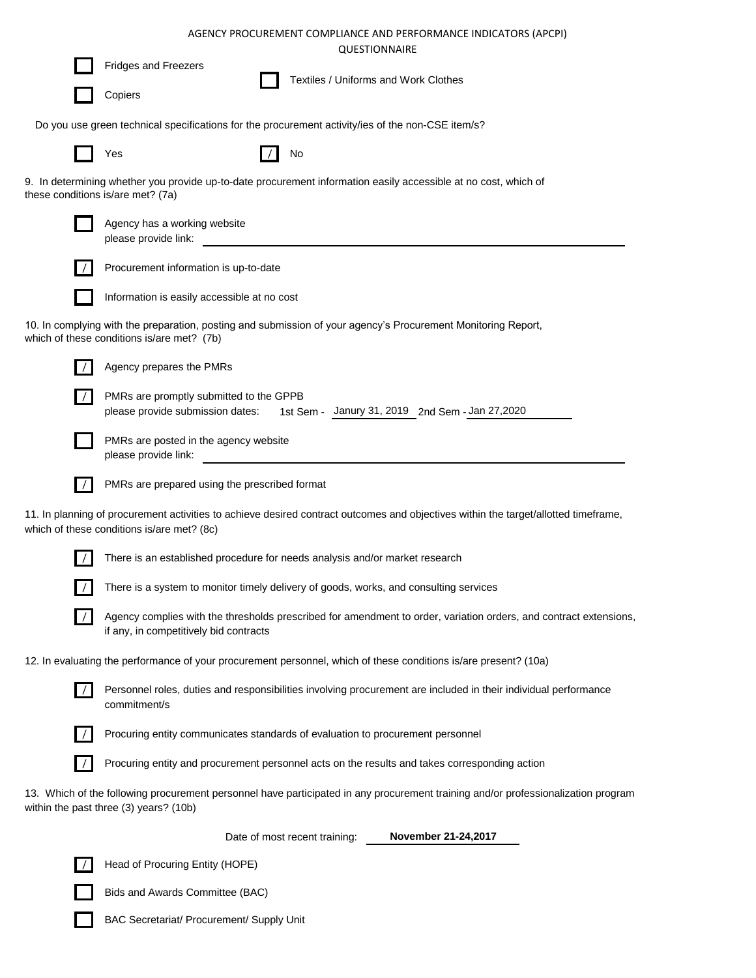|                                                                                                                                                                                   |                                      | AGENCY PROCUREMENT COMPLIANCE AND PERFORMANCE INDICATORS (APCPI)<br><b>QUESTIONNAIRE</b> |  |
|-----------------------------------------------------------------------------------------------------------------------------------------------------------------------------------|--------------------------------------|------------------------------------------------------------------------------------------|--|
| <b>Fridges and Freezers</b>                                                                                                                                                       |                                      |                                                                                          |  |
| Copiers                                                                                                                                                                           | Textiles / Uniforms and Work Clothes |                                                                                          |  |
| Do you use green technical specifications for the procurement activity/ies of the non-CSE item/s?                                                                                 |                                      |                                                                                          |  |
| Yes                                                                                                                                                                               | No                                   |                                                                                          |  |
| 9. In determining whether you provide up-to-date procurement information easily accessible at no cost, which of<br>these conditions is/are met? (7a)                              |                                      |                                                                                          |  |
| Agency has a working website<br>please provide link:                                                                                                                              |                                      |                                                                                          |  |
| Procurement information is up-to-date                                                                                                                                             |                                      |                                                                                          |  |
| Information is easily accessible at no cost                                                                                                                                       |                                      |                                                                                          |  |
| 10. In complying with the preparation, posting and submission of your agency's Procurement Monitoring Report,<br>which of these conditions is/are met? (7b)                       |                                      |                                                                                          |  |
| Agency prepares the PMRs                                                                                                                                                          |                                      |                                                                                          |  |
| PMRs are promptly submitted to the GPPB<br>please provide submission dates:                                                                                                       |                                      | 1st Sem - Janury 31, 2019 2nd Sem - Jan 27, 2020                                         |  |
| PMRs are posted in the agency website<br>please provide link:                                                                                                                     |                                      |                                                                                          |  |
| PMRs are prepared using the prescribed format                                                                                                                                     |                                      |                                                                                          |  |
| 11. In planning of procurement activities to achieve desired contract outcomes and objectives within the target/allotted timeframe,<br>which of these conditions is/are met? (8c) |                                      |                                                                                          |  |
| There is an established procedure for needs analysis and/or market research                                                                                                       |                                      |                                                                                          |  |
| There is a system to monitor timely delivery of goods, works, and consulting services                                                                                             |                                      |                                                                                          |  |
| Agency complies with the thresholds prescribed for amendment to order, variation orders, and contract extensions,<br>if any, in competitively bid contracts                       |                                      |                                                                                          |  |
| 12. In evaluating the performance of your procurement personnel, which of these conditions is/are present? (10a)                                                                  |                                      |                                                                                          |  |
| Personnel roles, duties and responsibilities involving procurement are included in their individual performance<br>commitment/s                                                   |                                      |                                                                                          |  |
| Procuring entity communicates standards of evaluation to procurement personnel                                                                                                    |                                      |                                                                                          |  |
| Procuring entity and procurement personnel acts on the results and takes corresponding action                                                                                     |                                      |                                                                                          |  |
| 13. Which of the following procurement personnel have participated in any procurement training and/or professionalization program<br>within the past three (3) years? (10b)       |                                      |                                                                                          |  |
|                                                                                                                                                                                   | Date of most recent training:        | November 21-24,2017                                                                      |  |
| Head of Procuring Entity (HOPE)                                                                                                                                                   |                                      |                                                                                          |  |
| Bids and Awards Committee (BAC)                                                                                                                                                   |                                      |                                                                                          |  |

BAC Secretariat/ Procurement/ Supply Unit

 $\Box$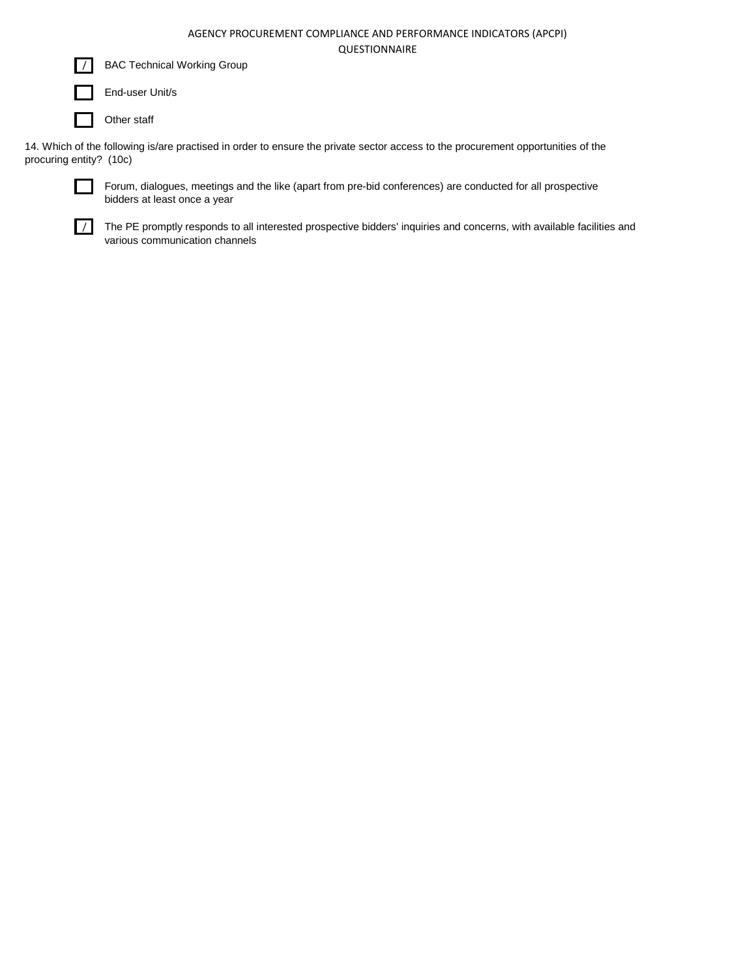

BAC Technical Working Group

End-user Unit/s

Other staff

14. Which of the following is/are practised in order to ensure the private sector access to the procurement opportunities of the procuring entity? (10c)



Forum, dialogues, meetings and the like (apart from pre-bid conferences) are conducted for all prospective bidders at least once a year

 $\sqrt{\phantom{a}}$  The PE promptly responds to all interested prospective bidders' inquiries and concerns, with available facilities and various communication channels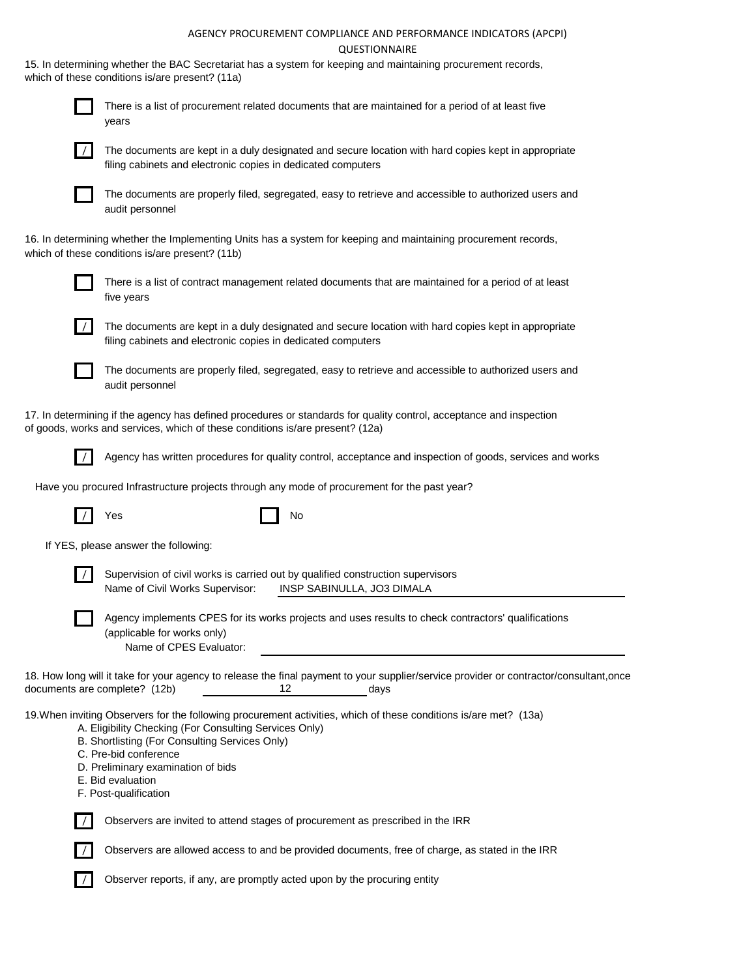15. In determining whether the BAC Secretariat has a system for keeping and maintaining procurement records, which of these conditions is/are present? (11a)



There is a list of procurement related documents that are maintained for a period of at least five years



The documents are kept in a duly designated and secure location with hard copies kept in appropriate filing cabinets and electronic copies in dedicated computers



The documents are properly filed, segregated, easy to retrieve and accessible to authorized users and audit personnel

16. In determining whether the Implementing Units has a system for keeping and maintaining procurement records, which of these conditions is/are present? (11b)



There is a list of contract management related documents that are maintained for a period of at least five years



The documents are kept in a duly designated and secure location with hard copies kept in appropriate filing cabinets and electronic copies in dedicated computers



The documents are properly filed, segregated, easy to retrieve and accessible to authorized users and audit personnel

17. In determining if the agency has defined procedures or standards for quality control, acceptance and inspection of goods, works and services, which of these conditions is/are present? (12a)



/ Agency has written procedures for quality control, acceptance and inspection of goods, services and works

Have you procured Infrastructure projects through any mode of procurement for the past year?

|                               | Yes                                                                                                                                                                                                                                                                                                                                        | No                         |      |  |
|-------------------------------|--------------------------------------------------------------------------------------------------------------------------------------------------------------------------------------------------------------------------------------------------------------------------------------------------------------------------------------------|----------------------------|------|--|
|                               | If YES, please answer the following:                                                                                                                                                                                                                                                                                                       |                            |      |  |
|                               | Supervision of civil works is carried out by qualified construction supervisors<br>Name of Civil Works Supervisor:                                                                                                                                                                                                                         | INSP SABINULLA, JO3 DIMALA |      |  |
|                               | Agency implements CPES for its works projects and uses results to check contractors' qualifications<br>(applicable for works only)<br>Name of CPES Evaluator:                                                                                                                                                                              |                            |      |  |
| documents are complete? (12b) | 18. How long will it take for your agency to release the final payment to your supplier/service provider or contractor/consultant,once                                                                                                                                                                                                     | 12                         | days |  |
|                               | 19. When inviting Observers for the following procurement activities, which of these conditions is/are met? (13a)<br>A. Eligibility Checking (For Consulting Services Only)<br>B. Shortlisting (For Consulting Services Only)<br>C. Pre-bid conference<br>D. Preliminary examination of bids<br>E. Bid evaluation<br>F. Post-qualification |                            |      |  |



/ Observers are invited to attend stages of procurement as prescribed in the IRR

/ Observers are allowed access to and be provided documents, free of charge, as stated in the IRR



Observer reports, if any, are promptly acted upon by the procuring entity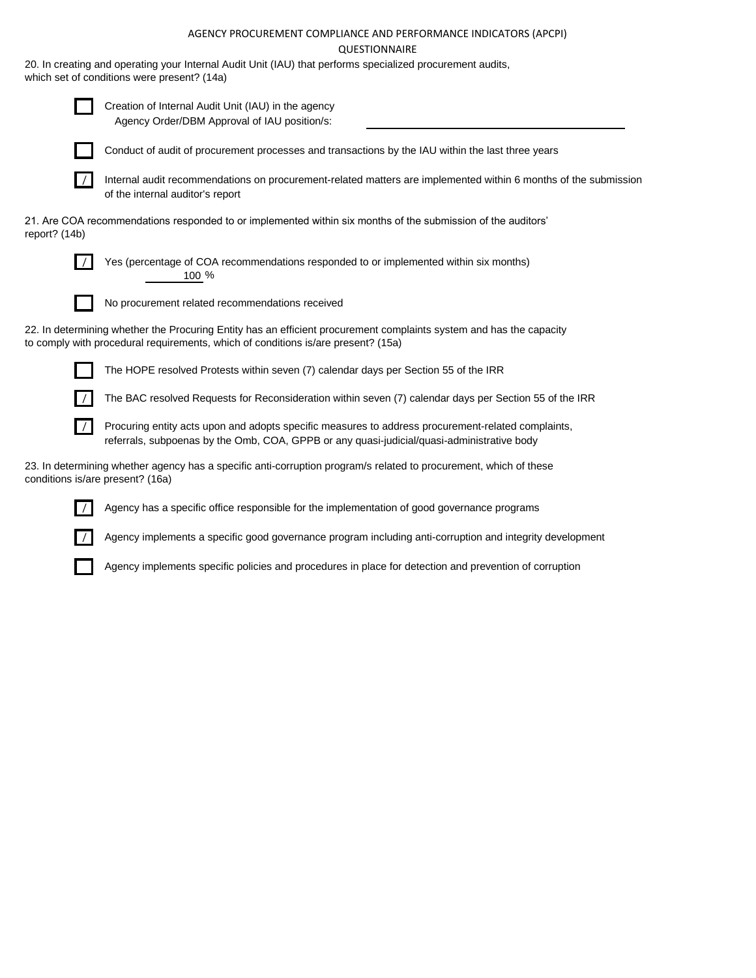20. In creating and operating your Internal Audit Unit (IAU) that performs specialized procurement audits, which set of conditions were present? (14a)



Creation of Internal Audit Unit (IAU) in the agency Agency Order/DBM Approval of IAU position/s:



Conduct of audit of procurement processes and transactions by the IAU within the last three years



/ Internal audit recommendations on procurement-related matters are implemented within 6 months of the submission of the internal auditor's report

21. Are COA recommendations responded to or implemented within six months of the submission of the auditors' report? (14b)



/ Yes (percentage of COA recommendations responded to or implemented within six months) 100 %



No procurement related recommendations received

22. In determining whether the Procuring Entity has an efficient procurement complaints system and has the capacity to comply with procedural requirements, which of conditions is/are present? (15a)



The HOPE resolved Protests within seven (7) calendar days per Section 55 of the IRR

The BAC resolved Requests for Reconsideration within seven (7) calendar days per Section 55 of the IRR

Procuring entity acts upon and adopts specific measures to address procurement-related complaints, referrals, subpoenas by the Omb, COA, GPPB or any quasi-judicial/quasi-administrative body

23. In determining whether agency has a specific anti-corruption program/s related to procurement, which of these conditions is/are present? (16a)



Agency has a specific office responsible for the implementation of good governance programs

Agency implements a specific good governance program including anti-corruption and integrity development

Agency implements specific policies and procedures in place for detection and prevention of corruption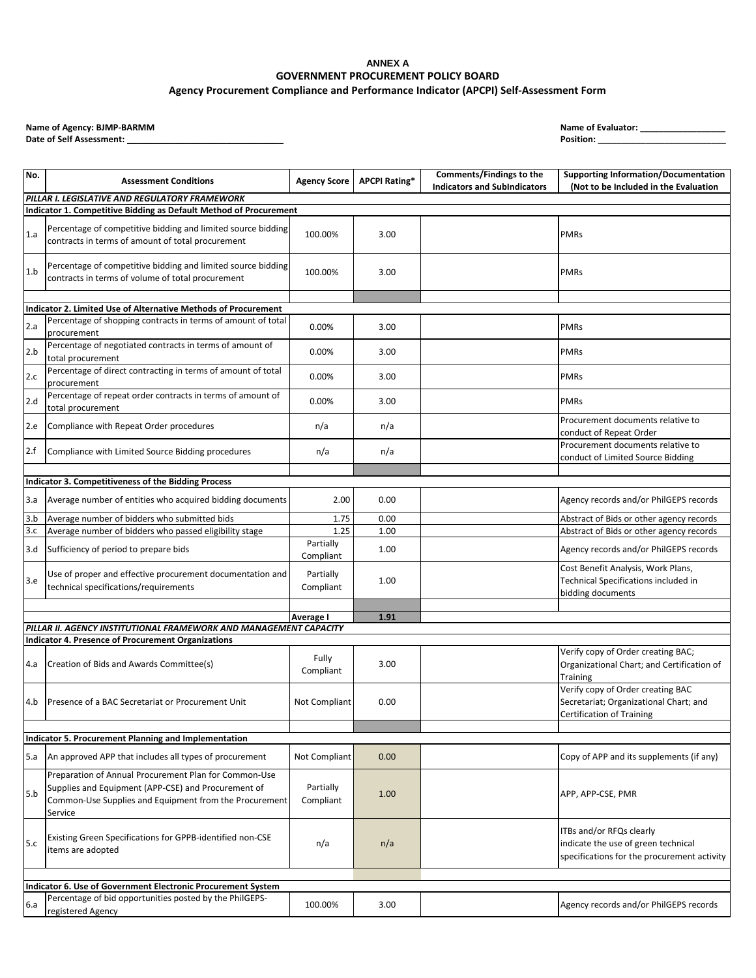Date of Self Assessment: \_

| No.        | <b>Assessment Conditions</b>                                                                                                                                                      | <b>Agency Score</b>    | <b>APCPI Rating*</b> | Comments/Findings to the<br><b>Indicators and SubIndicators</b> | <b>Supporting Information/Documentation</b><br>(Not to be Included in the Evaluation                           |  |  |  |  |  |
|------------|-----------------------------------------------------------------------------------------------------------------------------------------------------------------------------------|------------------------|----------------------|-----------------------------------------------------------------|----------------------------------------------------------------------------------------------------------------|--|--|--|--|--|
|            | PILLAR I. LEGISLATIVE AND REGULATORY FRAMEWORK                                                                                                                                    |                        |                      |                                                                 |                                                                                                                |  |  |  |  |  |
|            | Indicator 1. Competitive Bidding as Default Method of Procurement                                                                                                                 |                        |                      |                                                                 |                                                                                                                |  |  |  |  |  |
| 1.a        | Percentage of competitive bidding and limited source bidding<br>contracts in terms of amount of total procurement                                                                 | 100.00%                | 3.00                 |                                                                 | <b>PMRs</b>                                                                                                    |  |  |  |  |  |
| 1.b        | Percentage of competitive bidding and limited source bidding<br>contracts in terms of volume of total procurement                                                                 | 100.00%                | 3.00                 |                                                                 | <b>PMRs</b>                                                                                                    |  |  |  |  |  |
|            | Indicator 2. Limited Use of Alternative Methods of Procurement                                                                                                                    |                        |                      |                                                                 |                                                                                                                |  |  |  |  |  |
| 2.a        | Percentage of shopping contracts in terms of amount of total<br>procurement                                                                                                       | 0.00%                  | 3.00                 |                                                                 | <b>PMRs</b>                                                                                                    |  |  |  |  |  |
| 2.b        | Percentage of negotiated contracts in terms of amount of<br>total procurement                                                                                                     | 0.00%                  | 3.00                 |                                                                 | <b>PMRs</b>                                                                                                    |  |  |  |  |  |
| 2.c        | Percentage of direct contracting in terms of amount of total<br>procurement                                                                                                       | 0.00%                  | 3.00                 |                                                                 | <b>PMRs</b>                                                                                                    |  |  |  |  |  |
| 2.d        | Percentage of repeat order contracts in terms of amount of<br>total procurement                                                                                                   | 0.00%                  | 3.00                 |                                                                 | <b>PMRs</b>                                                                                                    |  |  |  |  |  |
| 2.e        | Compliance with Repeat Order procedures                                                                                                                                           | n/a                    | n/a                  |                                                                 | Procurement documents relative to<br>conduct of Repeat Order                                                   |  |  |  |  |  |
| 2.f        | Compliance with Limited Source Bidding procedures                                                                                                                                 | n/a                    | n/a                  |                                                                 | Procurement documents relative to<br>conduct of Limited Source Bidding                                         |  |  |  |  |  |
|            |                                                                                                                                                                                   |                        |                      |                                                                 |                                                                                                                |  |  |  |  |  |
|            | Indicator 3. Competitiveness of the Bidding Process                                                                                                                               |                        |                      |                                                                 |                                                                                                                |  |  |  |  |  |
| 3.a        | Average number of entities who acquired bidding documents                                                                                                                         | 2.00                   | 0.00                 |                                                                 | Agency records and/or PhilGEPS records                                                                         |  |  |  |  |  |
| 3.b        | Average number of bidders who submitted bids                                                                                                                                      | 1.75<br>1.25           | 0.00                 |                                                                 | Abstract of Bids or other agency records                                                                       |  |  |  |  |  |
| 3.c<br>3.d | Average number of bidders who passed eligibility stage<br>Sufficiency of period to prepare bids                                                                                   | Partially<br>Compliant | 1.00<br>1.00         |                                                                 | Abstract of Bids or other agency records<br>Agency records and/or PhilGEPS records                             |  |  |  |  |  |
| 3.e        | Use of proper and effective procurement documentation and<br>technical specifications/requirements                                                                                | Partially<br>Compliant | 1.00                 |                                                                 | Cost Benefit Analysis, Work Plans,<br>Technical Specifications included in<br>bidding documents                |  |  |  |  |  |
|            |                                                                                                                                                                                   |                        |                      |                                                                 |                                                                                                                |  |  |  |  |  |
|            | PILLAR II. AGENCY INSTITUTIONAL FRAMEWORK AND MANAGEMENT CAPACITY                                                                                                                 | Average I              | 1.91                 |                                                                 |                                                                                                                |  |  |  |  |  |
|            | Indicator 4. Presence of Procurement Organizations                                                                                                                                |                        |                      |                                                                 |                                                                                                                |  |  |  |  |  |
| 4.a        | Creation of Bids and Awards Committee(s)                                                                                                                                          | Fully<br>Compliant     | 3.00                 |                                                                 | Verify copy of Order creating BAC;<br>Organizational Chart; and Certification of<br>Training                   |  |  |  |  |  |
| 4.b        | Presence of a BAC Secretariat or Procurement Unit                                                                                                                                 | Not Compliant          | 0.00                 |                                                                 | Verify copy of Order creating BAC<br>Secretariat; Organizational Chart; and<br>Certification of Training       |  |  |  |  |  |
|            |                                                                                                                                                                                   |                        |                      |                                                                 |                                                                                                                |  |  |  |  |  |
|            | Indicator 5. Procurement Planning and Implementation                                                                                                                              |                        |                      |                                                                 |                                                                                                                |  |  |  |  |  |
| 5.a        | An approved APP that includes all types of procurement                                                                                                                            | Not Compliant          | 0.00                 |                                                                 | Copy of APP and its supplements (if any)                                                                       |  |  |  |  |  |
| 5.b        | Preparation of Annual Procurement Plan for Common-Use<br>Supplies and Equipment (APP-CSE) and Procurement of<br>Common-Use Supplies and Equipment from the Procurement<br>Service | Partially<br>Compliant | 1.00                 |                                                                 | APP, APP-CSE, PMR                                                                                              |  |  |  |  |  |
| 5.c        | Existing Green Specifications for GPPB-identified non-CSE<br>items are adopted                                                                                                    | n/a                    | n/a                  |                                                                 | ITBs and/or RFQs clearly<br>indicate the use of green technical<br>specifications for the procurement activity |  |  |  |  |  |
|            |                                                                                                                                                                                   |                        |                      |                                                                 |                                                                                                                |  |  |  |  |  |
| 6.a        | Indicator 6. Use of Government Electronic Procurement System<br>Percentage of bid opportunities posted by the PhilGEPS-                                                           | 100.00%                | 3.00                 |                                                                 | Agency records and/or PhilGEPS records                                                                         |  |  |  |  |  |
|            | registered Agency                                                                                                                                                                 |                        |                      |                                                                 |                                                                                                                |  |  |  |  |  |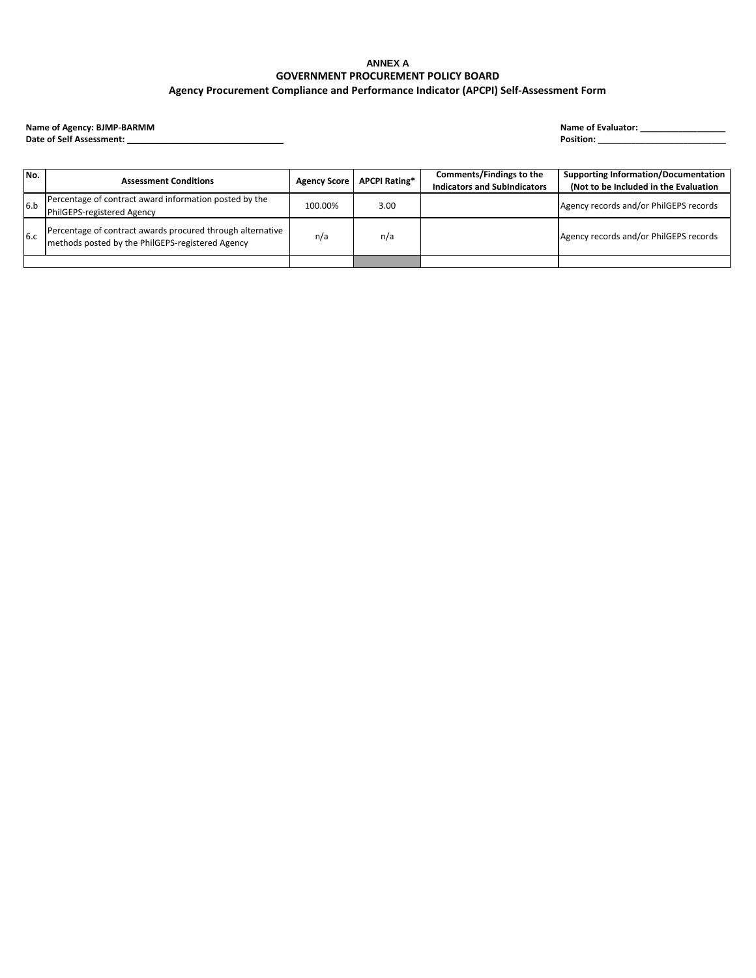Date of Self Assessment: \_

| No. | <b>Assessment Conditions</b>                                                                                   | <b>Agency Score</b> | <b>APCPI Rating*</b> | Comments/Findings to the<br><b>Indicators and SubIndicators</b> | <b>Supporting Information/Documentation</b><br>(Not to be Included in the Evaluation |
|-----|----------------------------------------------------------------------------------------------------------------|---------------------|----------------------|-----------------------------------------------------------------|--------------------------------------------------------------------------------------|
| 6.b | Percentage of contract award information posted by the<br>PhilGEPS-registered Agency                           | 100.00%             | 3.00                 |                                                                 | Agency records and/or PhilGEPS records                                               |
| 6.c | Percentage of contract awards procured through alternative<br>methods posted by the PhilGEPS-registered Agency | n/a                 | n/a                  |                                                                 | Agency records and/or PhilGEPS records                                               |
|     |                                                                                                                |                     |                      |                                                                 |                                                                                      |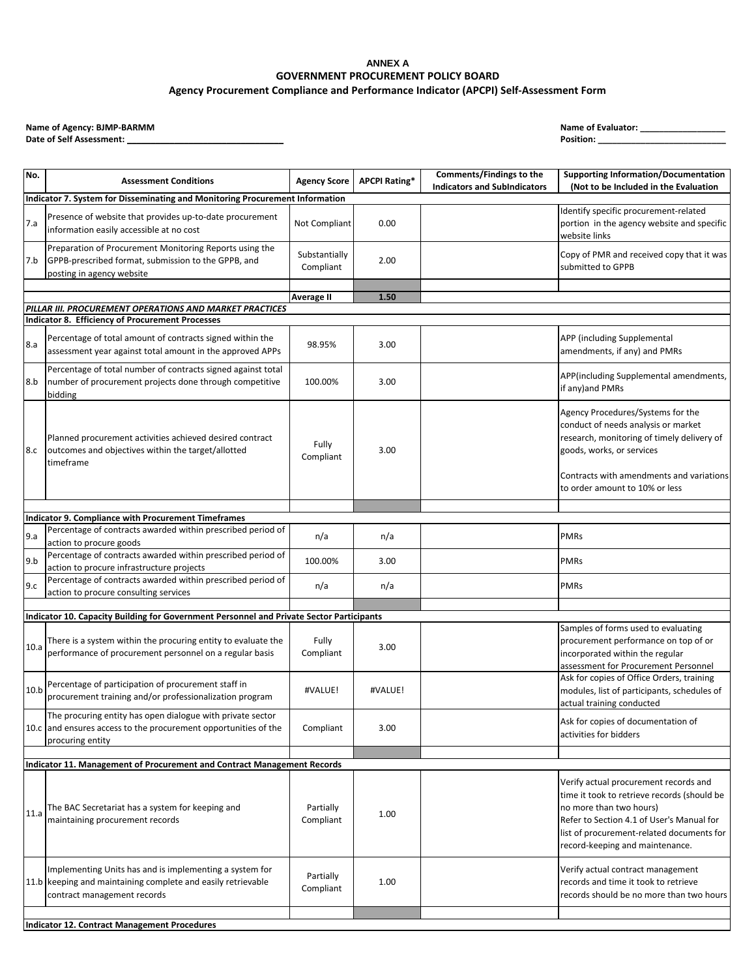Date of Self Assessment: \_

| No.  | <b>Assessment Conditions</b>                                                                                                                           | <b>Agency Score</b>        | <b>APCPI Rating*</b> | Comments/Findings to the<br><b>Indicators and SubIndicators</b> | <b>Supporting Information/Documentation</b><br>(Not to be Included in the Evaluation                                                                                                                                                         |
|------|--------------------------------------------------------------------------------------------------------------------------------------------------------|----------------------------|----------------------|-----------------------------------------------------------------|----------------------------------------------------------------------------------------------------------------------------------------------------------------------------------------------------------------------------------------------|
|      | <b>Indicator 7. System for Disseminating and Monitoring Procurement Information</b>                                                                    |                            |                      |                                                                 |                                                                                                                                                                                                                                              |
| 7.a  | Presence of website that provides up-to-date procurement<br>information easily accessible at no cost                                                   | Not Compliant              | 0.00                 |                                                                 | Identify specific procurement-related<br>portion in the agency website and specific<br>website links                                                                                                                                         |
| 7.b  | Preparation of Procurement Monitoring Reports using the<br>GPPB-prescribed format, submission to the GPPB, and<br>posting in agency website            | Substantially<br>Compliant | 2.00                 |                                                                 | Copy of PMR and received copy that it was<br>submitted to GPPB                                                                                                                                                                               |
|      |                                                                                                                                                        |                            |                      |                                                                 |                                                                                                                                                                                                                                              |
|      | PILLAR III. PROCUREMENT OPERATIONS AND MARKET PRACTICES                                                                                                | <b>Average II</b>          | 1.50                 |                                                                 |                                                                                                                                                                                                                                              |
|      | <b>Indicator 8. Efficiency of Procurement Processes</b>                                                                                                |                            |                      |                                                                 |                                                                                                                                                                                                                                              |
| 8.a  | Percentage of total amount of contracts signed within the<br>assessment year against total amount in the approved APPs                                 | 98.95%                     | 3.00                 |                                                                 | APP (including Supplemental<br>amendments, if any) and PMRs                                                                                                                                                                                  |
| 8.b  | Percentage of total number of contracts signed against total<br>number of procurement projects done through competitive<br>bidding                     | 100.00%                    | 3.00                 |                                                                 | APP(including Supplemental amendments,<br>if any) and PMRs                                                                                                                                                                                   |
| 8.c  | Planned procurement activities achieved desired contract<br>outcomes and objectives within the target/allotted<br>timeframe                            | Fully<br>Compliant         | 3.00                 |                                                                 | Agency Procedures/Systems for the<br>conduct of needs analysis or market<br>research, monitoring of timely delivery of<br>goods, works, or services<br>Contracts with amendments and variations<br>to order amount to 10% or less            |
|      |                                                                                                                                                        |                            |                      |                                                                 |                                                                                                                                                                                                                                              |
|      | <b>Indicator 9. Compliance with Procurement Timeframes</b><br>Percentage of contracts awarded within prescribed period of                              |                            |                      |                                                                 |                                                                                                                                                                                                                                              |
| 9.a  | action to procure goods                                                                                                                                | n/a                        | n/a                  |                                                                 | <b>PMRs</b>                                                                                                                                                                                                                                  |
| 9.b  | Percentage of contracts awarded within prescribed period of<br>action to procure infrastructure projects                                               | 100.00%                    | 3.00                 |                                                                 | <b>PMRs</b>                                                                                                                                                                                                                                  |
| 9.c  | Percentage of contracts awarded within prescribed period of                                                                                            | n/a                        | n/a                  |                                                                 | <b>PMRs</b>                                                                                                                                                                                                                                  |
|      | action to procure consulting services                                                                                                                  |                            |                      |                                                                 |                                                                                                                                                                                                                                              |
|      | Indicator 10. Capacity Building for Government Personnel and Private Sector Participants                                                               |                            |                      |                                                                 |                                                                                                                                                                                                                                              |
| 10.a | There is a system within the procuring entity to evaluate the<br>performance of procurement personnel on a regular basis                               | Fully<br>Compliant         | 3.00                 |                                                                 | Samples of forms used to evaluating<br>procurement performance on top of or<br>incorporated within the regular<br>assessment for Procurement Personnel                                                                                       |
| 10.b | Percentage of participation of procurement staff in<br>procurement training and/or professionalization program                                         | #VALUE!                    | #VALUE!              |                                                                 | Ask for copies of Office Orders, training<br>modules, list of participants, schedules of<br>actual training conducted                                                                                                                        |
|      | The procuring entity has open dialogue with private sector<br>10.c and ensures access to the procurement opportunities of the<br>procuring entity      | Compliant                  | 3.00                 |                                                                 | Ask for copies of documentation of<br>activities for bidders                                                                                                                                                                                 |
|      |                                                                                                                                                        |                            |                      |                                                                 |                                                                                                                                                                                                                                              |
|      | Indicator 11. Management of Procurement and Contract Management Records                                                                                |                            |                      |                                                                 |                                                                                                                                                                                                                                              |
| 11.a | The BAC Secretariat has a system for keeping and<br>maintaining procurement records                                                                    | Partially<br>Compliant     | 1.00                 |                                                                 | Verify actual procurement records and<br>time it took to retrieve records (should be<br>no more than two hours)<br>Refer to Section 4.1 of User's Manual for<br>list of procurement-related documents for<br>record-keeping and maintenance. |
|      | Implementing Units has and is implementing a system for<br>11.b keeping and maintaining complete and easily retrievable<br>contract management records | Partially<br>Compliant     | 1.00                 |                                                                 | Verify actual contract management<br>records and time it took to retrieve<br>records should be no more than two hours                                                                                                                        |
|      |                                                                                                                                                        |                            |                      |                                                                 |                                                                                                                                                                                                                                              |
|      | <b>Indicator 12. Contract Management Procedures</b>                                                                                                    |                            |                      |                                                                 |                                                                                                                                                                                                                                              |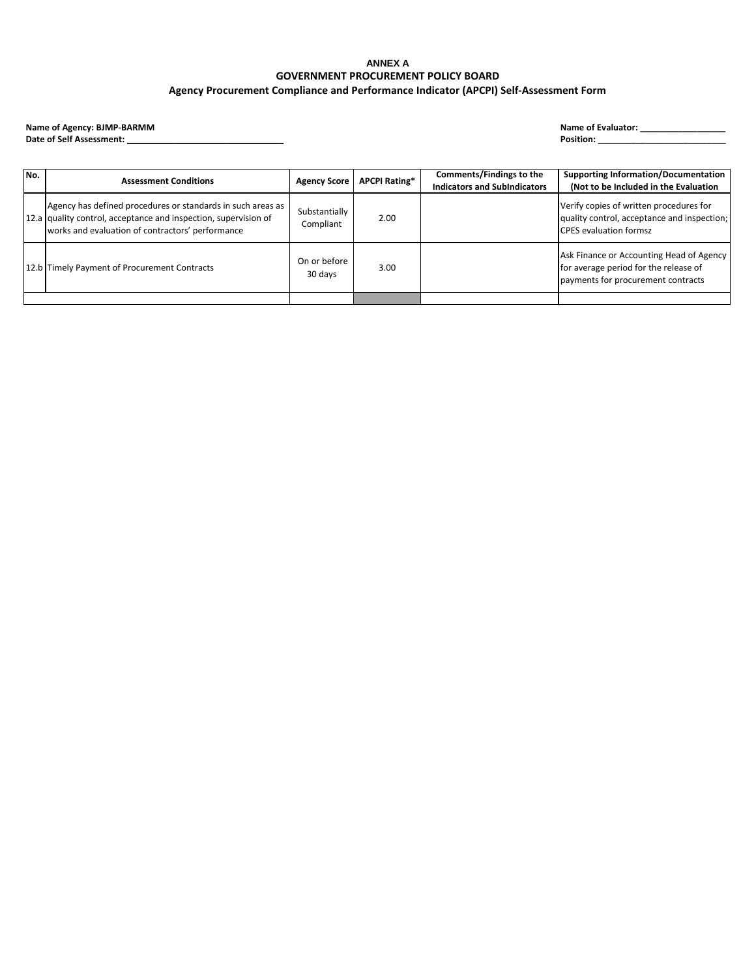Date of Self Assessment: \_

| No. | <b>Assessment Conditions</b>                                                                                                                                                       | <b>Agency Score</b>        | <b>APCPI Rating*</b> | Comments/Findings to the<br><b>Indicators and SubIndicators</b> | <b>Supporting Information/Documentation</b><br>(Not to be Included in the Evaluation                                    |
|-----|------------------------------------------------------------------------------------------------------------------------------------------------------------------------------------|----------------------------|----------------------|-----------------------------------------------------------------|-------------------------------------------------------------------------------------------------------------------------|
|     | Agency has defined procedures or standards in such areas as<br>12.a quality control, acceptance and inspection, supervision of<br>works and evaluation of contractors' performance | Substantially<br>Compliant | 2.00                 |                                                                 | Verify copies of written procedures for<br>quality control, acceptance and inspection;<br><b>CPES</b> evaluation formsz |
|     | 12.b Timely Payment of Procurement Contracts                                                                                                                                       | On or before<br>30 days    | 3.00                 |                                                                 | Ask Finance or Accounting Head of Agency<br>for average period for the release of<br>payments for procurement contracts |
|     |                                                                                                                                                                                    |                            |                      |                                                                 |                                                                                                                         |